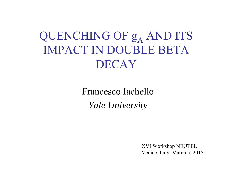QUENCHING OF  $g_A$  AND ITS IMPACT IN DOUBLE BETA DECAY

> Francesco Iachello*Yale University*

> > XVI Workshop NEUTEL Venice, Italy, March 5, 2015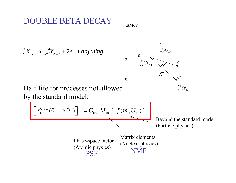# **JBLE BETA DECAY**

 ${}_{Z}^{A}X_{N} \rightarrow {}_{Z\pm 2}^{A}Y_{N\mp 2} + 2e^{\mp} + any thing$ 



Half-life for processes not allowed by the standard model:

76 34 42 *Se*

 $\left[ \left. \tau_{1/2}^{0\nu\beta\beta}(0^{+}\rightarrow0^{+})\right] ^{-1}=G_{0\nu}\left| M_{0\nu}\right| ^{2}\left| f(m_{i},U_{ei})\right| ^{2}\right]$ Phase-space factor (Atomic physics) Matrix elements (Nuclear physics) Beyond the standard model (Particle physics) **PSF** NME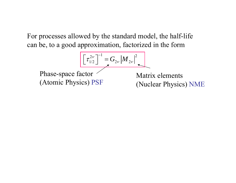For processes allowed by the standard model, the half-life can be, to a good approximation, factorized in the form

$$
\left[\tau_{1/2}^{2\nu}\right]^{-1} = G_{2\nu} |M_{2\nu}|^2
$$

Phase-space factor (Atomic Physics) PSF

Matrix elements(Nuclear Physics) NME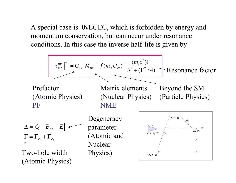A special case is  $0$ νECEC, which is forbidden by energy and momentum conservation, but can occur under resonance conditions. In this case the inverse half-life is given by

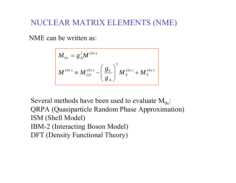## NUCLEAR MATRIX ELEMENTS (NME)

## NME can be written as:

$$
M_{0\nu} = g_A^2 M^{(0\nu)}
$$
  

$$
M^{(0\nu)} = M_{GT}^{(0\nu)} - \left(\frac{g_V}{g_A}\right)^2 M_F^{(0\nu)} + M_T^{(0\nu)}
$$

Several methods have been used to evaluate  $\rm M_{0v}$ : QRPA (Quasiparticle Random Phase Approximation) ISM (Shell Model) IBM-2 (Interacting Boson Model) DFT (Density Functional Theory)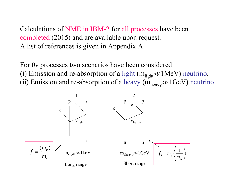Calculations of NME in IBM-2 for all processes have been completed (2015) and are available upon request. A list of references is given in Appendix A.

For 0ν processes two scenarios have been considered: (i) Emission and re-absorption of a light  $(m_{light} \ll 1 \text{MeV})$  neutrino. (ii) Emission and re-absorption of a heavy  $(m_{heavy} \gg 1 \text{GeV})$  neutrino.

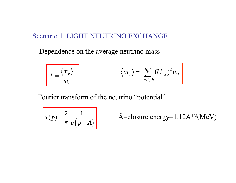#### Scenario 1: LIGHT NEUTRINO EXCHANGE

Dependence on the average neutrino mass

$$
f = \frac{\langle m_{v} \rangle}{m_{e}}
$$
  $\left\langle m_{v} \right\rangle = \sum_{k = light} (U_{ek})^{2} m_{k}$ 

Fourier transform of the neutrino "potential"

$$
v(p) = \frac{2}{\pi} \frac{1}{p\left(p + \tilde{A}\right)}
$$

$$
\overline{\tilde{A}} = \text{closure energy}=1.12 \text{A}^{1/2}(\text{MeV})
$$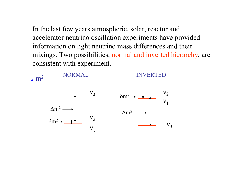In the last few years atmospheric, solar, reactor and accelerator neutrino oscillation experiments have provided information on light neutrino mass differences and their mixings. Two possibilities, normal and inverted hierarchy, are consistent with experiment.

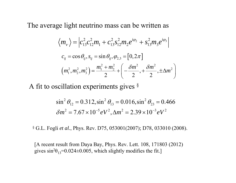The average light neutrino mass can be written as

$$
\langle m_{\nu} \rangle = \Big| c_{13}^2 c_{12}^2 m_1 + c_{13}^2 s_{12}^2 m_2 e^{i\varphi_2} + s_{13}^2 m_3 e^{i\varphi_3} \Big|
$$
  
\n
$$
c_{ij} = \cos \theta_{ij}, s_{ij} = \sin \theta_{ij}, \varphi_{2,3} = [0, 2\pi]
$$
  
\n
$$
\Big( m_1^2, m_2^2, m_3^2 \Big) = \frac{m_1^2 + m_2^2}{2} + \Big( -\frac{\delta m^2}{2}, +\frac{\delta m^2}{2}, \pm \Delta m^2 \Big)
$$

A fit to oscillation experiments gives §

$$
\sin^2 \theta_{12} = 0.312, \sin^2 \theta_{13} = 0.016, \sin^2 \theta_{23} = 0.466
$$

$$
\delta m^2 = 7.67 \times 10^{-5} eV^2, \Delta m^2 = 2.39 \times 10^{-3} eV^2
$$

§ G.L. Fogli *et al.*, Phys. Rev. D75, 053001(2007); D78, 033010 (2008).

[A recent result from Daya Bay, Phys. Rev. Lett. 108, 171803 (2012) gives sin 2  $\theta_{13}$ =0.024±0.005, which slightly modifies the fit.]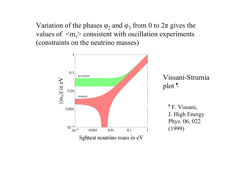Variation of the phases  $\varphi_2$  and  $\varphi_3$  from 0 to  $2\pi$  gives the values of  $\langle m_v \rangle$  consistent with oscillation experiments (constraints on the neutrino masses)

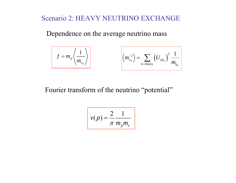## Scenario 2: HEAVY NEUTRINO EXCHANGE

Dependence on the average neutrino mass

$$
f = m_p \left\langle \frac{1}{m_{\nu_h}} \right\rangle \qquad \left\langle m_{\nu_h}^{-1} \right\rangle = \sum_{k = heavy} \left( U_{ek_h} \right)^2 \frac{1}{m_{k_h}}
$$

## Fourier transform of the neutrino "potential"

$$
v(p) = \frac{2}{\pi} \frac{1}{m_p m_e}
$$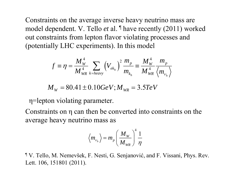Constraints on the average inverse heavy neutrino mass are model dependent. V. Tello *et* al. ¶ have recently (2011) worked out constraints from lepton flavor violating processes and (potentially LHC experiments). In this model

$$
f \equiv \eta = \frac{M_{W}^{4}}{M_{WR}^{4}} \sum_{k = heavy} (V_{ek_{h}})^{2} \frac{m_{p}}{m_{k_{h}}} \equiv \frac{M_{W}^{4}}{M_{WR}^{4}} \frac{m_{p}}{\langle m_{v_{h}} \rangle}
$$

$$
M_w = 80.41 \pm 0.10 GeV; M_{\text{WR}} = 3.5 TeV
$$

η=lepton violating parameter.

Constraints on η can then be converted into constraints on the average heavy neutrino mass as

$$
\left\langle m_{\nu_h}\right\rangle = m_p \left(\frac{M_{\scriptscriptstyle W}}{M_{\scriptscriptstyle WR}}\right)^4 \frac{1}{\eta}
$$

¶ V. Tello, M. Nemevšek, F. Nesti, G. Senjanovi ć, and F. Vissani, Phys. Rev. Lett. 106, 151801 (2011).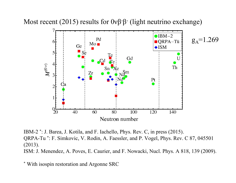Most recent (2015) results for 0νβ-β- (light neutrino exchange)



IBM-2 \*: J. Barea, J. Kotila, and F. Iachello, Phys. Rev. C, in press (2015). QRPA-Tu \*: F. Simkovic, V. Rodin, A. Faessler, and P. Vogel, Phys. Rev. C 87, 045501 (2013). ISM: J. Menendez, A. Poves, E. Caurier, and F. Nowacki, Nucl. Phys. A 818, 139 (2009).

\* With isospin restoration and Argonne SRC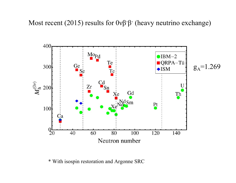

\* With isospin restoration and Argonne SRC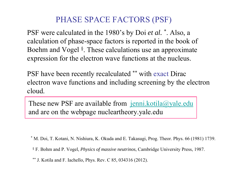## PHASE SPACE FACTORS (PSF)

PSF were calculated in the 1980's by Doi *et al.*  \*. Also, a calculation of phase-space factors is reported in the book of Boehm and Vogel §. These calculations use an approximate expression for the electron wave functions at the nucleus.

PSF have been recently recalculated \*\* with exact Dirac electron wave functions and including screening by the electron cloud.

These new PSF are available from [jenni.kotila@yale.edu](mailto:jenni.kotila@yale.edu) and are on the webpage nucleartheory.yale.edu

\* M. Doi, T. Kotani, N. Nishiura, K. Okuda and E. Takasugi, Prog. Theor. Phys. 66 (1981) 1739.

§ F. Bohm and P. Vogel, *Physics of massive neutrinos*, Cambridge University Press, 1987.

\*\* J. Kotila and F. Iachello, Phys. Rev. C 85, 034316 (2012).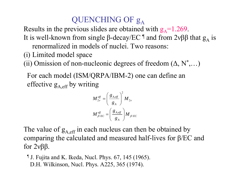# QUENCHING OF  $\mathsf g_{\mathsf A}$

Results in the previous slides are obtained with  $g_A = 1.269$ .

- It is well-known from single β-decay/EC  $\P$  and from 2νββ that  $g_A$  is renormalized in models of nuclei. Two reasons:
- (i) Limited model space
- (ii) Omission of non-nucleonic degrees of freedom  $(\Delta, N^*,...)$

For each model (ISM/QRPA/IBM-2) one can define an effective  $g_{A \text{eff}}$  by writing

$$
M_{2\nu}^{eff} = \left(\frac{g_{A,eff}}{g_A}\right)^2 M_{2\nu}
$$

$$
M_{\beta/EC}^{eff} = \left(\frac{g_{A,eff}}{g_A}\right) M_{\beta/EC}
$$

The value of  $g_{A,\text{eff}}$  in each nucleus can then be obtained by comparing the calculated and measured half-lives for β/EC and for 2νββ.

¶ J. Fujita and K. Ikeda, Nucl. Phys. 67, 145 (1965). D.H. Wilkinson, Nucl. Phys. A225, 365 (1974).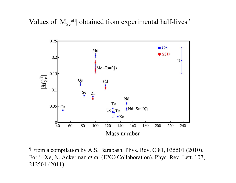Values of  $|M_{2v}$ <sup>eff</sup> obtained from experimental half-lives  $\mathbb{I}$ 



¶ From a compilation by A.S. Barabash, Phys. Rev. C 81, 035501 (2010). For <sup>136</sup>Xe, N. Ackerman *et al.* (EXO Collaboration), Phys. Rev. Lett. 107, 212501 (2011).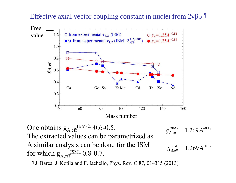## Effective axial vector coupling constant in nuclei from  $2νββ$ <sup> $\text{T}$ </sup>



One obtains  $g_{A,eff}^{IBM-2} \sim 0.6$ -0.5. The extracted values can be parametrized as A similar analysis can be done for the ISM for which  $g_{A \text{ eff}}^{ISM}$ ~0.8-0.7.

2 1  $2 \times 1.96 \times 10^{18}$  $g_{A,eff}^{~\scriptsize{IBM 2}}=1.269A^{-}$ 

$$
g_{A,eff}^{ISM} = 1.269 A^{-0.12}
$$

¶ J. Barea, J. Kotila and F. Iachello, Phys. Rev. C 87, 014315 (2013).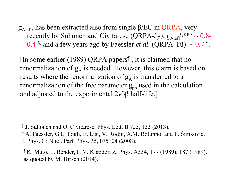$g_{A,eff}$ , has been extracted also from single  $\beta$ /EC in QRPA, very recently by Suhonen and Civitarese (QRPA-Jy),  $g_{A \text{ eff}}^{QRPA} \sim 0.8$ -0.4  $\text{\textdegree}$ , and a few years ago by Faessler *et al.* (QRPA-Tü)  $\sim 0.7$   $\text{\textdegree}$ .

[In some earlier (1989) QRPA papers¶ , it is claimed that no renormalization of  $g_A$  is needed. However, this claim is based on results where the renormalization of  $g_A$  is transferred to a renormalization of the free parameter  $g_{\text{pn}}$  used in the calculation and adjusted to the experimental 2νββ half-life.]

§ J. Suhonen and O. Civitarese, Phys. Lett. B 725, 153 (2013).

\* A. Faessler, G.L. Fogli, E. Lisi, V. Rodin, A.M. Rotunno, and F. Šimkovic, J. Phys. G: Nucl. Part. Phys. 35, 075104 (2008).

¶ K. Muto, E. Bender, H.V. Klapdor, Z. Phys. A334, 177 (1989); 187 (1989), as quoted by M. Hirsch (2014).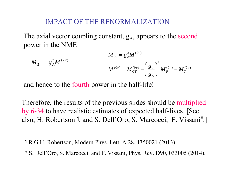#### IMPACT OF THE RENORMALIZATION

The axial vector coupling constant,  $g_A$ , appears to the second power in the NME

$$
M_{2v} = g_A^2 M^{(2v)}
$$
  

$$
M_{0v} = g_A^2 M^{(0v)}
$$
  

$$
M^{(0v)} = M_{GT}^{(0v)} - \left(\frac{g_V}{g_A}\right)^2 M_F^{(0v)} + M_T^{(0v)}
$$

and hence to the fourth power in the half-life!

Therefore, the results of the previous slides should be multiplied by 6-34 to have realistic estimates of expected half-lives. [See also, H. Robertson <sup>¶</sup>, and S. Dell'Oro, S. Marcocci, F. Vissani<sup>#</sup>.

¶ R.G.H. Robertson, Modern Phys. Lett. A 28, 1350021 (2013).

# S. Dell'Oro, S. Marcocci, and F. Vissani, Phys. Rev. D90, 033005 (2014).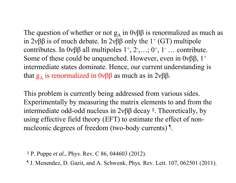The question of whether or not  $g_A$  in  $0\nu\beta\beta$  is renormalized as much as in 2νββ is of much debate. In 2νββ only the  $1^+$  (GT) multipole contributes. In  $0\nu\beta\beta$  all multipoles  $1^+, 2^-, \ldots; 0^+, 1^-, \ldots$  contribute. Some of these could be unquenched. However, even in  $0\nu\beta\beta$ ,  $1^+$ intermediate states dominate. Hence, our current understanding is that  $g_A$  is renormalized in 0νββ as much as in 2νββ.

This problem is currently being addressed from various sides. Experimentally by measuring the matrix elements to and from the intermediate odd-odd nucleus in 2νββ decay §. Theoretically, by using effective field theory (EFT) to estimate the effect of nonnucleonic degrees of freedom (two-body currents) <sup>¶</sup>.

§ P. Puppe *et al.*, Phys. Rev. C 86, 044603 (2012).

¶ J. Menendez, D. Gazit, and A. Schwenk, Phys. Rev. Lett. 107, 062501 (2011).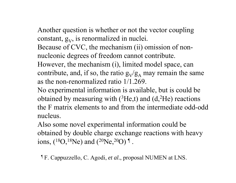- Another question is whether or not the vector coupling constant,  $g_V$ , is renormalized in nuclei.
- Because of CVC, the mechanism (ii) omission of nonnucleonic degrees of freedom cannot contribute.
- However, the mechanism (i), limited model space, can contribute, and, if so, the ratio  $g_V/g_A$  may remain the same as the non-renormalized ratio 1/1.269.
- No experimental information is available, but is could be obtained by measuring with  $(^3He,t)$  and  $(d,^2He)$  reactions the F matrix elements to and from the intermediate odd-odd nucleus.
- Also some novel experimental information could be obtained by double charge exchange reactions with heavy ions, ( $\rm ^{18}O, ^{18}Ne)$  and ( $\rm ^{20}Ne, ^{20}O)$   $\rm ^{\rm I}$  .
	- ¶ F. Cappuzzello, C. Agodi, *et al.*, proposal NUMEN at LNS.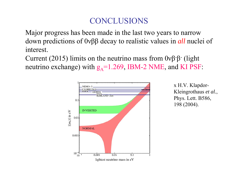## **CONCLUSIONS**

Major progress has been made in the last two years to narrow down predictions of 0νββ decay to realistic values in *all* nuclei of interest.

Current (2015) limits on the neutrino mass from  $0\nu\beta\beta$ <sup>-</sup> (light neutrino exchange) with  $g_A$ =1.269, IBM-2 NME, and KI PSF:



x H.V. Klapdor-Kleingrothaus *et al.*, Phys. Lett. B586, 198 (2004).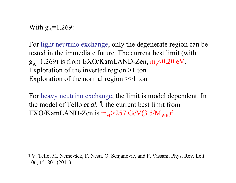With  $g_A = 1.269$ :

For light neutrino exchange, only the degenerate region can be tested in the immediate future. The current best limit (with  $g_A$ =1.269) is from EXO/KamLAND-Zen, m<sub>v</sub><0.20 eV. Exploration of the inverted region >1 ton Exploration of the normal region >>1 ton

For heavy neutrino exchange, the limit is model dependent. In the model of Tello *et al.* ¶, the current best limit from EXO/KamLAND-Zen is  $m_{vh}$ >257 GeV(3.5/M<sub>WR</sub>)<sup>4</sup>.

¶ V. Tello, M. Nemevšek, F. Nesti, O. Senjanovic, and F. Vissani, Phys. Rev. Lett. 106, 151801 (2011).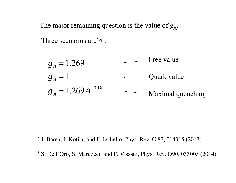The major remaining question is the value of  $g_A$ .

Three scenarios are<sup>[[,§</sup> :

Free value $g_{_A}$  = 1.269  $g_{\scriptscriptstyle A}=1$ Quark value  $g_{_A} = 1.269 A^{-0.18}$  $\begin{picture}(20,20) \put(0,0){\line(1,0){10}} \put(15,0){\line(1,0){10}} \put(15,0){\line(1,0){10}} \put(15,0){\line(1,0){10}} \put(15,0){\line(1,0){10}} \put(15,0){\line(1,0){10}} \put(15,0){\line(1,0){10}} \put(15,0){\line(1,0){10}} \put(15,0){\line(1,0){10}} \put(15,0){\line(1,0){10}} \put(15,0){\line(1,0){10}} \put(15,0){\line(1$ Maximal quenching

¶ J. Barea, J. Kotila, and F. Iachello, Phys. Rev. C 87, 014315 (2013).

§ S. Dell'Oro, S. Marcocci, and F. Vissani, Phys. Rev. D90, 033005 (2014).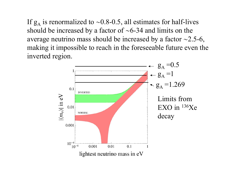If  $g_A$  is renormalized to ~0.8-0.5, all estimates for half-lives should be increased by a factor of  $\sim 6-34$  and limits on the average neutrino mass should be increased by a factor  $\sim$ 2.5-6, making it impossible to reach in the foreseeable future even the inverted region.

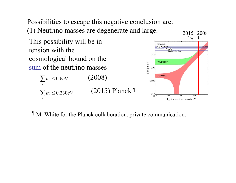Possibilities to escape this negative conclusion are: (1) Neutrino masses are degenerate and large.

This possibility will be in tension with the cosmological bound on the sum of the neutrino masses

> $\sum m_i \leq 0.6 eV$  (2008) *i* $n_i \leq 0.230$ *i* $\sum_{i} m_i \le 0.230 \text{eV}$  (2015) Planck <sup>¶</sup>



¶ M. White for the Planck collaboration, private communication.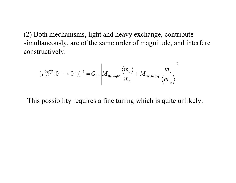(2) Both mechanisms, light and heavy exchange, contribute simultaneously, are of the same order of magnitude, and interfere constructively.

$$
\left[\tau_{1/2}^{0\nu\beta\beta}(0^+\to 0^+)\right]^{-1} = G_{0\nu} \left|M_{0\nu, light} \frac{\langle m_{\nu} \rangle}{m_e} + M_{0\nu, heavy} \frac{m_{p}}{\langle m_{\nu_{h}} \rangle}\right|^2
$$

This possibility requires a fine tuning which is quite unlikely.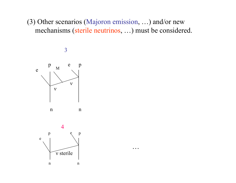(3) Other scenarios (Majoron emission, …) and/or new mechanisms (sterile neutrinos, …) must be considered.

…

3



n n

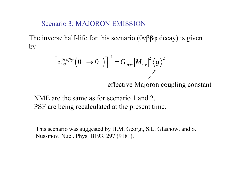## Scenario 3: MAJORON EMISSION

The inverse half-life for this scenario (0νββφ decay) is given by

$$
\left[\tau_{1/2}^{0\nu\beta\beta\varphi}\left(0^+\to 0^+\right)\right]^{-1} = G_{0\nu\varphi}\left|M_{0\nu}\right|^2\left\langle g\right\rangle^2
$$

effective Majoron coupling constant

NME are the same as for scenario 1 and 2. PSF are being recalculated at the present time.

This scenario was suggested by H.M. Georgi, S.L. Glashow, and S. Nussinov, Nucl. Phys. B193, 297 (9181).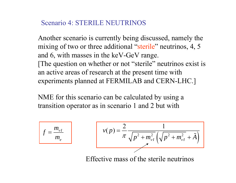## Scenario 4: STERILE NEUTRINOS

Another scenario is currently being discussed, namely the mixing of two or three additional "sterile" neutrinos, 4, 5 and 6, with masses in the keV-GeV range. [The question on whether or not "sterile" neutrinos exist is an active areas of research at the present time with experiments planned at FERMILAB and CERN-LHC.]

NME for this scenario can be calculated by using a transition operator as in scenario 1 and 2 but with

$$
f = \frac{m_{vI}}{m_e}
$$

$$
v(p) = \frac{2}{\pi} \frac{1}{\sqrt{p^2 + m_{vI}^2} \left(\sqrt{p^2 + m_{vI}^2} + \tilde{A}\right)}
$$

Effective mass of the sterile neutrinos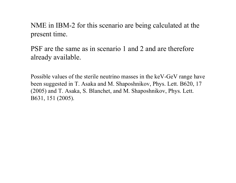NME in IBM-2 for this scenario are being calculated at the present time.

PSF are the same as in scenario 1 and 2 and are therefore already available.

Possible values of the sterile neutrino masses in the keV-GeV range have been suggested in T. Asaka and M. Shaposhnikov, Phys. Lett. B620, 17 (2005) and T. Asaka, S. Blanchet, and M. Shaposhnikov, Phys. Lett. B631, 151 (2005).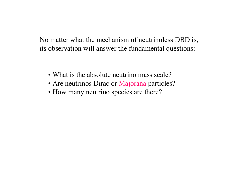No matter what the mechanism of neutrinoless DBD is, its observation will answer the fundamental questions:

- What is the absolute neutrino mass scale?
- Are neutrinos Dirac or Majorana particles?
- How many neutrino species are there?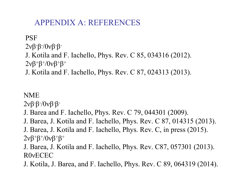# APPENDIX A: REFERENCES

#### **PSF** 2νβ-β-/0νβ-β-J. Kotila and F. Iachello, Phys. Rev. C 85, 034316 (2012). 2ν $\beta^+$  $\beta^+$ /0ν $\beta^+$  $\beta^+$

J. Kotila and F. Iachello, Phys. Rev. C 87, 024313 (2013).

## NME

2νβ-β-/0νβ-β-

- J. Barea and F. Iachello, Phys. Rev. C 79, 044301 (2009).
- J. Barea, J. Kotila and F. Iachello, Phys. Rev. C 87, 014315 (2013). J. Barea, J. Kotila and F. Iachello, Phys. Rev. C, in press (2015). 2ν $\beta^+$  $\beta^+$ /0ν $\beta^+$  $\beta^+$
- J. Barea, J. Kotila and F. Iachello, Phys. Rev. C87, 057301 (2013). R0 νECEC
- J. Kotila, J. Barea, and F. Iachello, Phys. Rev. C 89, 064319 (2014).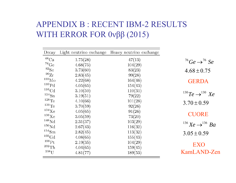# APPENDIX B : RECENT IBM-2 RESULTS WITH ERROR FOR 0νββ (2015)

| Decay                 | Light neutrino exchange | Heavy neutrino exchange |                                                   |
|-----------------------|-------------------------|-------------------------|---------------------------------------------------|
| $^{48}\mathrm{Ca}$    | 1.75(28)                | 47(13)                  | <sup>76</sup> Ge $\rightarrow$ <sup>76</sup> Se   |
| $^{76}\mathrm{Ge}$    | 4.68(75)                | 104(29)                 |                                                   |
| ${}^{82}Se$           | 3.73(60)                | 83(23)                  | $4.68 \pm 0.75$                                   |
| $^{96}\mathrm{Zr}$    | 2.83(45)                | 99(28)                  |                                                   |
| $^{100}\rm{Mo}$       | 4.22(68)                | 164(46)                 | <b>GERDA</b>                                      |
| $^{110}\mathrm{Pd}$   | 4.05(65)                | 154(43)                 |                                                   |
| $116$ Cd              | 3.10(50)                | 110(31)                 |                                                   |
| $^{124}{\rm Sn}$      | 3.19(51)                | 79(22)                  | $1^{30}Te \rightarrow 1^{30}Xe$                   |
| $128$ Te              | 4.10(66)                | 101(28)                 | $3.70 \pm 0.59$                                   |
| $130\text{Te}$        | 3.70(59)                | 92(26)                  |                                                   |
| $^{134}\text{Xe}$     | 4.05(65)                | 91(26)                  | <b>CUORE</b>                                      |
| 136Xe                 | 3.05(59)                | 73(20)                  |                                                   |
| ${}^{148}\mathrm{Nd}$ | 2.31(37)                | 103(29)                 | <sup>136</sup> $Xe \rightarrow$ <sup>136</sup> Ba |
| $^{150}\mathrm{Nd}$   | 2.67(43)                | 116(32)                 |                                                   |
| $^{154}\mathrm{Sm}$   | 2.82(45)                | 113(32)                 | $3.05 \pm 0.59$                                   |
| ${}^{160}\mathrm{Gd}$ | 4.08(65)                | 155(43)                 |                                                   |
| $^{198}\mathrm{Pt}$   | 2.19(35)                | 104(29)                 | <b>EXO</b>                                        |
| $^{232}$ Th           | 4.04(65)                | 159(45)                 |                                                   |
| $^{238}$ U            | 4.81(77)                | 189(53)                 | KamLAND-Zen                                       |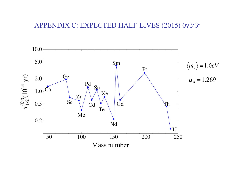#### APPENDIX C: EXPECTED HALF-LIVES (2015) 0νβ-β-

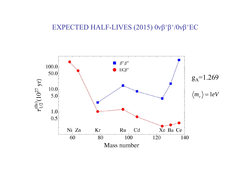#### EXPECTED HALF-LIVES (2015) 0νβ +  $\beta^+$ /0νβ<sup>+</sup>EC

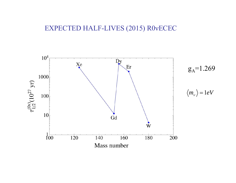#### EXPECTED HALF-LIVES (2015) R0 νECEC